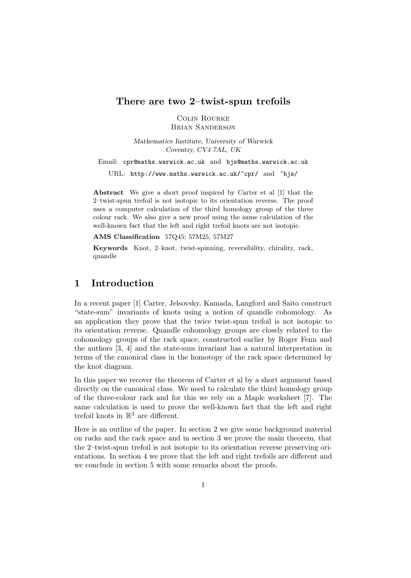### **There are two 2–twist-spun trefoils**

Colin Rourke Brian Sanderson

*Mathematics Institute, University of Warwick Coventry, CV4 7AL, UK*

Email: cpr@maths.warwick.ac.uk and bjs@maths.warwick.ac.uk

URL: http://www.maths.warwick.ac.uk/~cpr/ and ~bjs/

**Abstract** We give a short proof inspired by Carter et al [1] that the 2–twist-spun trefoil is not isotopic to its orientation reverse. The proof uses a computer calculation of the third homology group of the three colour rack. We also give a new proof using the same calculation of the well-known fact that the left and right trefoil knots are not isotopic.

**AMS Classification** 57Q45; 57M25, 57M27

**Keywords** Knot, 2–knot, twist-spinning, reversibility, chirality, rack, quandle

# **1 Introduction**

In a recent paper [1] Carter, Jelsovsky, Kamada, Langford and Saito construct "state-sum" invariants of knots using a notion of quandle cohomology. As an application they prove that the twice twist-spun trefoil is not isotopic to its orientation reverse. Quandle cohomology groups are closely related to the cohomology groups of the rack space, constructed earlier by Roger Fenn and the authors [3, 4] and the state-sum invariant has a natural interpretation in terms of the canonical class in the homotopy of the rack space determined by the knot diagram.

In this paper we recover the theorem of Carter et al by a short argument based directly on the canonical class. We need to calculate the third homology group of the three-colour rack and for this we rely on a Maple worksheet [7]. The same calculation is used to prove the well-known fact that the left and right trefoil knots in  $\mathbb{R}^3$  are different.

Here is an outline of the paper. In section 2 we give some background material on racks and the rack space and in section 3 we prove the main theorem, that the 2–twist-spun trefoil is not isotopic to its orientation reverse preserving orientations. In section 4 we prove that the left and right trefoils are different and we conclude in section 5 with some remarks about the proofs.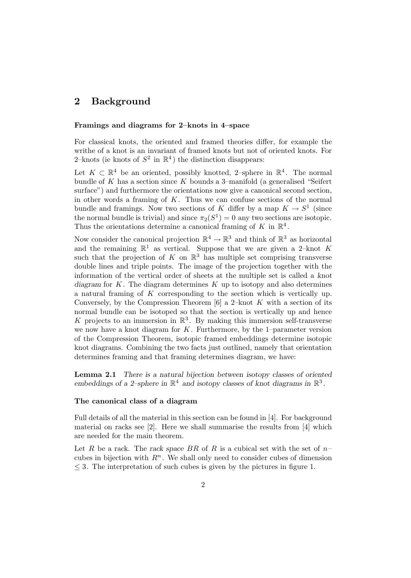# **2 Background**

#### **Framings and diagrams for 2–knots in 4–space**

For classical knots, the oriented and framed theories differ, for example the writhe of a knot is an invariant of framed knots but not of oriented knots. For 2–knots (ie knots of  $S^2$  in  $\mathbb{R}^4$ ) the distinction disappears:

Let  $K \subset \mathbb{R}^4$  be an oriented, possibly knotted, 2–sphere in  $\mathbb{R}^4$ . The normal bundle of  $K$  has a section since  $K$  bounds a 3-manifold (a generalised "Seifert surface") and furthermore the orientations now give a canonical second section, in other words a framing of  $K$ . Thus we can confuse sections of the normal bundle and framings. Now two sections of K differ by a map  $K \to S^1$  (since the normal bundle is trivial) and since  $\pi_2(S^1) = 0$  any two sections are isotopic. Thus the orientations determine a canonical framing of K in  $\mathbb{R}^4$ .

Now consider the canonical projection  $\mathbb{R}^4 \to \mathbb{R}^3$  and think of  $\mathbb{R}^3$  as horizontal and the remaining  $\mathbb{R}^1$  as vertical. Suppose that we are given a 2-knot K such that the projection of K on  $\mathbb{R}^3$  has multiple set comprising transverse double lines and triple points. The image of the projection together with the information of the vertical order of sheets at the multiple set is called a *knot diagram* for K. The diagram determines K up to isotopy and also determines a natural framing of K corresponding to the section which is vertically up. Conversely, by the Compression Theorem  $[6]$  a 2–knot K with a section of its normal bundle can be isotoped so that the section is vertically up and hence K projects to an immersion in  $\mathbb{R}^3$ . By making this immersion self-transverse we now have a knot diagram for  $K$ . Furthermore, by the 1–parameter version of the Compression Theorem, isotopic framed embeddings determine isotopic knot diagrams. Combining the two facts just outlined, namely that orientation determines framing and that framing determines diagram, we have:

**Lemma 2.1** *There is a natural bijection between isotopy classes of oriented* embeddings of a 2–sphere in  $\mathbb{R}^4$  and isotopy classes of knot diagrams in  $\mathbb{R}^3$ .

#### **The canonical class of a diagram**

Full details of all the material in this section can be found in [4]. For background material on racks see [2]. Here we shall summarise the results from [4] which are needed for the main theorem.

Let R be a rack. The rack space BR of R is a cubical set with the set of  $n$ cubes in bijection with  $R<sup>n</sup>$ . We shall only need to consider cubes of dimension  $\leq$  3. The interpretation of such cubes is given by the pictures in figure 1.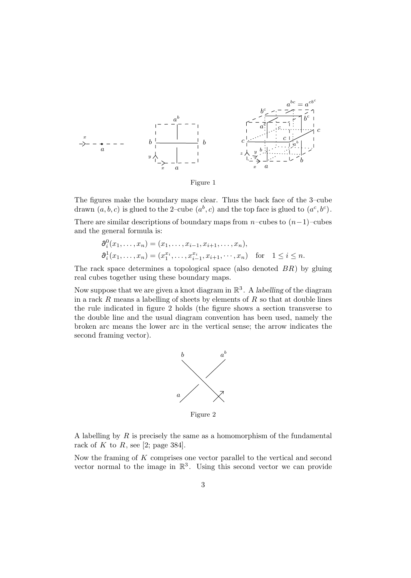

Figure 1

The figures make the boundary maps clear. Thus the back face of the 3–cube drawn  $(a, b, c)$  is glued to the 2–cube  $(a<sup>b</sup>, c)$  and the top face is glued to  $(a<sup>c</sup>, b<sup>c</sup>)$ .

There are similar descriptions of boundary maps from  $n$ –cubes to  $(n-1)$ –cubes and the general formula is:

$$
\begin{aligned} \n\partial_i^0(x_1,\ldots,x_n) &= (x_1,\ldots,x_{i-1},x_{i+1},\ldots,x_n),\\ \n\partial_i^1(x_1,\ldots,x_n) &= (x_1^{x_i},\ldots,x_{i-1}^{x_i},x_{i+1},\ldots,x_n) \quad \text{for} \quad 1 \le i \le n. \n\end{aligned}
$$

The rack space determines a topological space (also denoted  $BR$ ) by gluing real cubes together using these boundary maps.

Now suppose that we are given a knot diagram in  $\mathbb{R}^3$ . A *labelling* of the diagram in a rack  $R$  means a labelling of sheets by elements of  $R$  so that at double lines the rule indicated in figure 2 holds (the figure shows a section transverse to the double line and the usual diagram convention has been used, namely the broken arc means the lower arc in the vertical sense; the arrow indicates the second framing vector).



Figure 2

A labelling by  $R$  is precisely the same as a homomorphism of the fundamental rack of K to R, see [2; page 384].

Now the framing of  $K$  comprises one vector parallel to the vertical and second vector normal to the image in  $\mathbb{R}^3$ . Using this second vector we can provide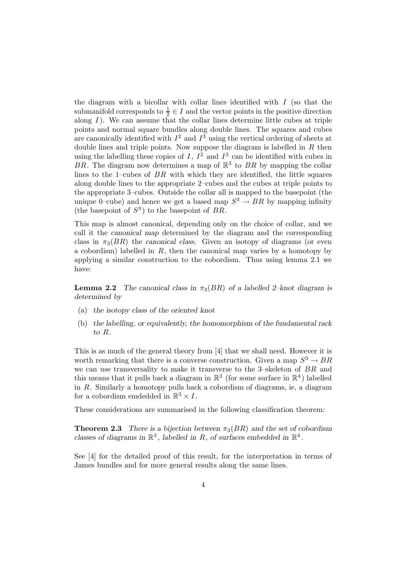the diagram with a bicollar with collar lines identified with  $I$  (so that the submanifold corresponds to  $\frac{1}{2} \in I$  and the vector points in the positive direction along  $I$ ). We can assume that the collar lines determine little cubes at triple points and normal square bundles along double lines. The squares and cubes are canonically identified with  $I^2$  and  $I^3$  using the vertical ordering of sheets at double lines and triple points. Now suppose the diagram is labelled in  $R$  then using the labelling these copies of I,  $I^2$  and  $I^3$  can be identified with cubes in BR. The diagram now determines a map of  $\mathbb{R}^3$  to BR by mapping the collar lines to the 1–cubes of  $BR$  with which they are identified, the little squares along double lines to the appropriate 2–cubes and the cubes at triple points to the appropriate 3–cubes. Outside the collar all is mapped to the basepoint (the unique 0–cube) and hence we get a based map  $S^3 \to BR$  by mapping infinity (the basepoint of  $S^3$ ) to the basepoint of BR.

This map is almost canonical, depending only on the choice of collar, and we call it the *canonical map* determined by the diagram and the corresponding class in  $\pi_3(BR)$  the *canonical class*. Given an isotopy of diagrams (or even a cobordism) labelled in  $R$ , then the canonical map varies by a homotopy by applying a similar construction to the cobordism. Thus using lemma 2.1 we have:

**Lemma 2.2** *The canonical class in*  $\pi_3(BR)$  *of a labelled 2–knot diagram is determined by*

- (a) *the isotopy class of the oriented knot*
- (b) *the labelling, or equivalently, the homomorphism of the fundamental rack to* R*.*

This is as much of the general theory from [4] that we shall need. However it is worth remarking that there is a converse construction. Given a map  $S^3 \to BR$ we can use transversality to make it transverse to the 3–skeleton of BR and this means that it pulls back a diagram in  $\mathbb{R}^3$  (for some surface in  $\mathbb{R}^4$ ) labelled in R. Similarly a homotopy pulls back a cobordism of diagrams, ie, a diagram for a cobordism emdedded in  $\mathbb{R}^3 \times I$ .

These considerations are summarised in the following classification theorem:

**Theorem 2.3** *There is a bijection between*  $\pi_3(BR)$  *and the set of cobordism classes of diagrams in*  $\mathbb{R}^3$ *, labelled in* R*, of surfaces embedded in*  $\mathbb{R}^4$ *.* 

See [4] for the detailed proof of this result, for the interpretation in terms of James bundles and for more general results along the same lines.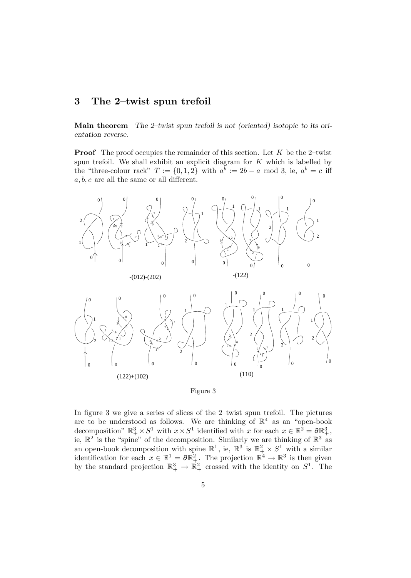## **3 The 2–twist spun trefoil**

**Main theorem** *The 2–twist spun trefoil is not (oriented) isotopic to its orientation reverse.*

**Proof** The proof occupies the remainder of this section. Let  $K$  be the 2-twist spun trefoil. We shall exhibit an explicit diagram for  $K$  which is labelled by the "three-colour rack"  $T := \{0, 1, 2\}$  with  $a^b := 2b - a \mod 3$ , ie,  $a^b = c$  iff  $a, b, c$  are all the same or all different.





In figure 3 we give a series of slices of the 2–twist spun trefoil. The pictures are to be understood as follows. We are thinking of  $\mathbb{R}^4$  as an "open-book decomposition"  $\mathbb{R}^3_+ \times S^1$  with  $x \times S^1$  identified with x for each  $x \in \mathbb{R}^2 = \partial \mathbb{R}^3_+$ , ie,  $\mathbb{R}^2$  is the "spine" of the decomposition. Similarly we are thinking of  $\mathbb{R}^3$  as an open-book decomposition with spine  $\mathbb{R}^1$ , ie,  $\mathbb{R}^3$  is  $\mathbb{R}^2_+ \times S^1$  with a similar identification for each  $x \in \mathbb{R}^1 = \partial \mathbb{R}^2_+$ . The projection  $\mathbb{R}^4 \to \mathbb{R}^3$  is then given by the standard projection  $\mathbb{R}^3_+ \to \mathbb{R}^2_+$  crossed with the identity on  $S^1$ . The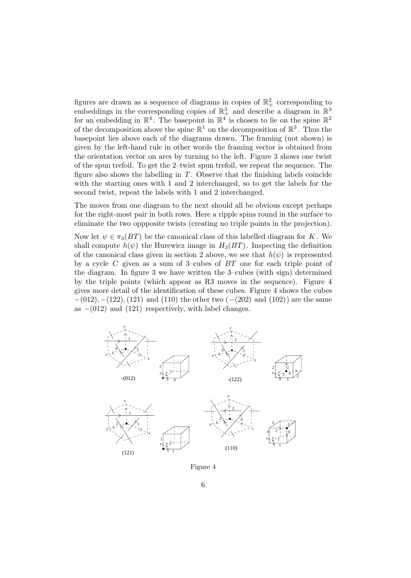figures are drawn as a sequence of diagrams in copies of  $\mathbb{R}^2_+$  corresponding to embeddings in the corresponding copies of  $\mathbb{R}^3_+$  and describe a diagram in  $\mathbb{R}^3$ for an embedding in  $\mathbb{R}^4$ . The basepoint in  $\mathbb{R}^4$  is chosen to lie on the spine  $\mathbb{R}^2$ of the decomposition above the spine  $\mathbb{R}^1$  on the decomposition of  $\mathbb{R}^3$ . Thus the basepoint lies above each of the diagrams drawn. The framing (not shown) is given by the left-hand rule in other words the framing vector is obtained from the orientation vector on arcs by turning to the left. Figure 3 shows one twist of the spun trefoil. To get the 2–twist spun trefoil, we repeat the sequence. The figure also shows the labelling in  $T$ . Observe that the finishing labels coincide with the starting ones with 1 and 2 interchanged, so to get the labels for the second twist, repeat the labels with 1 and 2 interchanged.

The moves from one diagram to the next should all be obvious except perhaps for the right-most pair in both rows. Here a ripple spins round in the surface to eliminate the two oppposite twists (creating no triple points in the projection).

Now let  $\psi \in \pi_3(BT)$  be the canonical class of this labelled diagram for K. We shall compute  $h(\psi)$  the Hurewicz image in  $H_3(BT)$ . Inspecting the definition of the canonical class given in section 2 above, we see that  $h(\psi)$  is represented by a cycle  $C$  given as a sum of 3–cubes of  $BT$  one for each triple point of the diagram. In figure 3 we have written the 3–cubes (with sign) determined by the triple points (which appear as R3 moves in the sequence). Figure 4 gives more detail of the identification of these cubes. Figure 4 shows the cubes  $-(012), -(122), (121)$  and (110) the other two  $(-(202))$  and (102)) are the same as  $-(012)$  and  $(121)$  respectively, with label changes.



Figure 4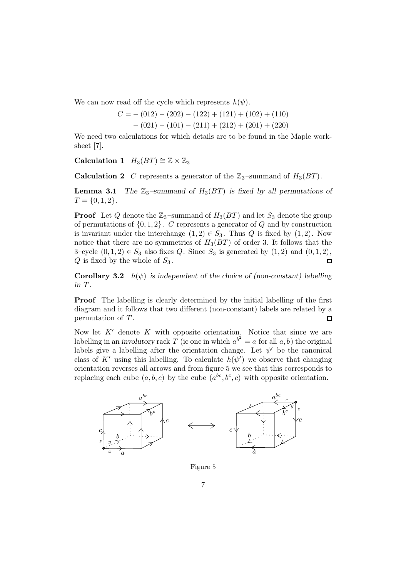We can now read off the cycle which represents  $h(\psi)$ .

$$
C = -(012) - (202) - (122) + (121) + (102) + (110)
$$
  
- (021) - (101) - (211) + (212) + (201) + (220)

We need two calculations for which details are to be found in the Maple worksheet [7].

**Calculation 1**  $H_3(BT) \cong \mathbb{Z} \times \mathbb{Z}_3$ 

**Calculation 2** C represents a generator of the  $\mathbb{Z}_3$ -summand of  $H_3(BT)$ .

**Lemma 3.1** *The*  $\mathbb{Z}_3$ -summand of  $H_3(BT)$  is fixed by all permutations of  $T = \{0, 1, 2\}.$ 

**Proof** Let Q denote the  $\mathbb{Z}_3$ -summand of  $H_3(BT)$  and let  $S_3$  denote the group of permutations of  $\{0, 1, 2\}$ . C represents a generator of Q and by construction is invariant under the interchange  $(1, 2) \in S_3$ . Thus Q is fixed by  $(1, 2)$ . Now notice that there are no symmetries of  $H_3(BT)$  of order 3. It follows that the 3–cycle  $(0,1,2) \in S_3$  also fixes Q. Since  $S_3$  is generated by  $(1,2)$  and  $(0,1,2)$ ,  $Q$  is fixed by the whole of  $S_3$ .  $\Box$ 

**Corollary 3.2**  $h(\psi)$  *is independent of the choice of (non-constant) labelling in* T *.*

**Proof** The labelling is clearly determined by the initial labelling of the first diagram and it follows that two different (non-constant) labels are related by a permutation of T .  $\Box$ 

Now let  $K'$  denote K with opposite orientation. Notice that since we are labelling in an *involutory* rack  $T$  (ie one in which  $a^{b^2} = a$  for all  $a, b$ ) the original labels give a labelling after the orientation change. Let  $\psi'$  be the canonical class of K' using this labelling. To calculate  $h(\psi')$  we observe that changing orientation reverses all arrows and from figure 5 we see that this corresponds to replacing each cube  $(a, b, c)$  by the cube  $(a^{bc}, b^c, c)$  with opposite orientation.



Figure 5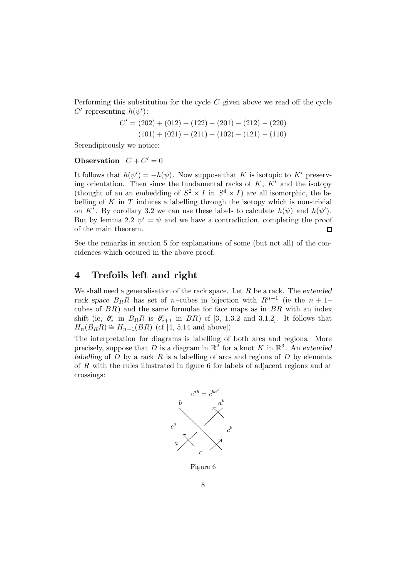Performing this substitution for the cycle  $C$  given above we read off the cycle C' representing  $h(\psi')$ :

$$
C' = (202) + (012) + (122) - (201) - (212) - (220)
$$
  

$$
(101) + (021) + (211) - (102) - (121) - (110)
$$

Serendipitously we notice:

#### **Observation**  $C + C' = 0$

It follows that  $h(\psi') = -h(\psi)$ . Now suppose that K is isotopic to K' preserving orientation. Then since the fundamental racks of  $K$ ,  $K'$  and the isotopy (thought of an an embedding of  $S^2 \times I$  in  $S^4 \times I$ ) are all isomorphic, the labelling of  $K$  in  $T$  induces a labelling through the isotopy which is non-trivial on K'. By corollary 3.2 we can use these labels to calculate  $h(\psi)$  and  $h(\psi')$ . But by lemma 2.2  $\psi' = \psi$  and we have a contradiction, completing the proof of the main theorem.  $\Box$ 

See the remarks in section 5 for explanations of some (but not all) of the concidences which occured in the above proof.

## **4 Trefoils left and right**

We shall need a generalisation of the rack space. Let R be a rack. The *extended* rack space  $B_R R$  has set of *n*–cubes in bijection with  $R^{n+1}$  (ie the  $n+1$ – cubes of  $BR$ ) and the same formulae for face maps as in  $BR$  with an index shift (ie,  $\partial_i^{\varepsilon}$  in  $B_R R$  is  $\partial_{i+1}^{\varepsilon}$  in  $BR$ ) cf [3, 1.3.2 and 3.1.2]. It follows that  $H_n(B_RR) \cong H_{n+1}(BR)$  (cf [4, 5.14 and above]).

The interpretation for diagrams is labelling of both arcs and regions. More precisely, suppose that D is a diagram in  $\mathbb{R}^2$  for a knot K in  $\mathbb{R}^3$ . An extended *labelling* of  $D$  by a rack  $R$  is a labelling of arcs and regions of  $D$  by elements of R with the rules illustrated in figure 6 for labels of adjacent regions and at crossings:



Figure 6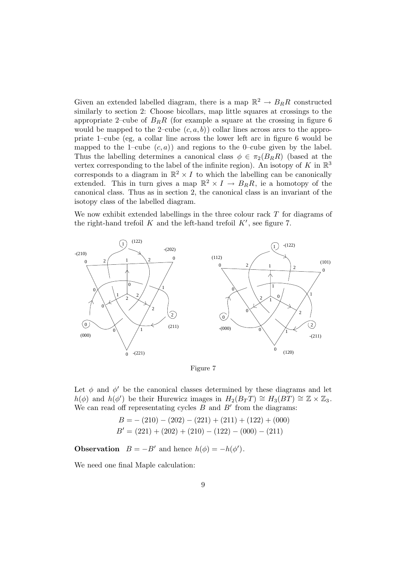Given an extended labelled diagram, there is a map  $\mathbb{R}^2 \to B_R R$  constructed similarly to section 2: Choose bicollars, map little squares at crossings to the appropriate 2–cube of  $B_R R$  (for example a square at the crossing in figure 6) would be mapped to the 2–cube  $(c, a, b)$  collar lines across arcs to the appropriate 1–cube (eg, a collar line across the lower left arc in figure 6 would be mapped to the 1–cube  $(c, a)$  and regions to the 0–cube given by the label. Thus the labelling determines a canonical class  $\phi \in \pi_2(B_R R)$  (based at the vertex corresponding to the label of the infinite region). An isotopy of K in  $\mathbb{R}^3$ corresponds to a diagram in  $\mathbb{R}^2 \times I$  to which the labelling can be canonically extended. This in turn gives a map  $\mathbb{R}^2 \times I \to B_R R$ , ie a homotopy of the canonical class. Thus as in section 2, the canonical class is an invariant of the isotopy class of the labelled diagram.

We now exhibit extended labellings in the three colour rack  $T$  for diagrams of the right-hand trefoil K and the left-hand trefoil  $K'$ , see figure 7.



Figure 7

Let  $\phi$  and  $\phi'$  be the canonical classes determined by these diagrams and let  $h(\phi)$  and  $h(\phi')$  be their Hurewicz images in  $H_2(B_TT) \cong H_3(BT) \cong \mathbb{Z} \times \mathbb{Z}_3$ . We can read off representating cycles  $B$  and  $B'$  from the diagrams:

$$
B = -(210) - (202) - (221) + (211) + (122) + (000)
$$
  

$$
B' = (221) + (202) + (210) - (122) - (000) - (211)
$$

**Observation**  $B = -B'$  and hence  $h(\phi) = -h(\phi')$ .

We need one final Maple calculation: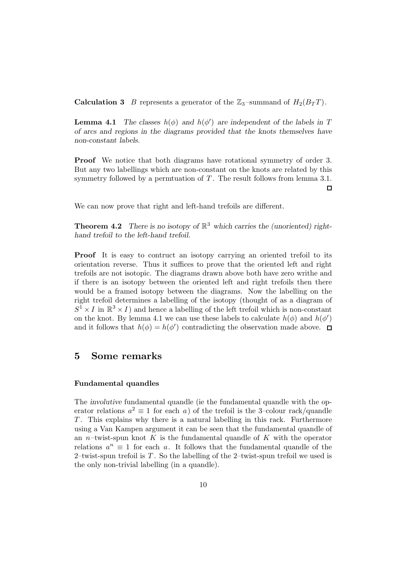**Calculation 3** B represents a generator of the  $\mathbb{Z}_3$ -summand of  $H_2(B_T T)$ .

**Lemma 4.1** *The classes*  $h(\phi)$  *and*  $h(\phi')$  *are independent of the labels in* T *of arcs and regions in the diagrams provided that the knots themselves have non-constant labels.*

**Proof** We notice that both diagrams have rotational symmetry of order 3. But any two labellings which are non-constant on the knots are related by this symmetry followed by a permtuation of  $T$ . The result follows from lemma 3.1.  $\Box$ 

We can now prove that right and left-hand trefoils are different.

**Theorem 4.2** *There is no isotopy of*  $\mathbb{R}^3$  *which carries the (unoriented) righthand trefoil to the left-hand trefoil.*

**Proof** It is easy to contruct an isotopy carrying an oriented trefoil to its orientation reverse. Thus it suffices to prove that the oriented left and right trefoils are not isotopic. The diagrams drawn above both have zero writhe and if there is an isotopy between the oriented left and right trefoils then there would be a framed isotopy between the diagrams. Now the labelling on the right trefoil determines a labelling of the isotopy (thought of as a diagram of  $S^1 \times I$  in  $\mathbb{R}^3 \times I$  and hence a labelling of the left trefoil which is non-constant on the knot. By lemma 4.1 we can use these labels to calculate  $h(\phi)$  and  $h(\phi)$ and it follows that  $h(\phi) = h(\phi')$  contradicting the observation made above.

## **5 Some remarks**

#### **Fundamental quandles**

The *involutive* fundamental quandle (ie the fundamental quandle with the operator relations  $a^2 \equiv 1$  for each a) of the trefoil is the 3–colour rack/quandle T . This explains why there is a natural labelling in this rack. Furthermore using a Van Kampen argument it can be seen that the fundamental quandle of an *n*–twist-spun knot K is the fundamental quandle of K with the operator relations  $a^n \equiv 1$  for each a. It follows that the fundamental quandle of the 2–twist-spun trefoil is  $T$ . So the labelling of the 2–twist-spun trefoil we used is the only non-trivial labelling (in a quandle).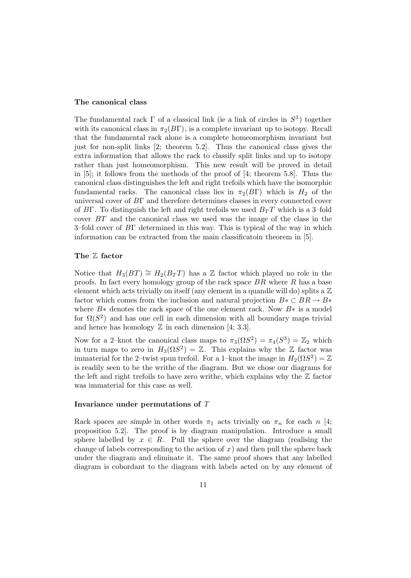#### **The canonical class**

The fundamental rack  $\Gamma$  of a classical link (ie a link of circles in  $S^3$ ) together with its canonical class in  $\pi_2(B\Gamma)$ , is a complete invariant up to isotopy. Recall that the fundamental rack alone is a complete homeomorphism invariant but just for non-split links [2; theorem 5.2]. Thus the canonical class gives the extra information that allows the rack to classify split links and up to isotopy rather than just homeomorphism. This new result will be proved in detail in [5]; it follows from the methods of the proof of [4; theorem 5.8]. Thus the canonical class distinguishes the left and right trefoils which have the isomorphic fundamental racks. The canonical class lies in  $\pi_2(B\Gamma)$  which is  $H_2$  of the universal cover of BΓ and therefore determines classes in every connected cover of BΓ. To distinguish the left and right trefoils we used  $B_T T$  which is a 3-fold cover BT and the canonical class we used was the image of the class in the 3–fold cover of BΓ determined in this way. This is typical of the way in which information can be extracted from the main classificatoin theorem in [5].

#### **The** Z **factor**

Notice that  $H_3(BT) \cong H_2(B_TT)$  has a Z factor which played no role in the proofs. In fact every homology group of the rack space  $BR$  where  $R$  has a base element which acts trivially on itself (any element in a quandle will do) splits a  $\mathbb Z$ factor which comes from the inclusion and natural projection  $B \ast \subset BR \rightarrow B \ast$ where  $B*$  denotes the rack space of the one element rack. Now  $B*$  is a model for  $\Omega(S^2)$  and has one cell in each dimension with all boundary maps trivial and hence has homology  $\mathbb Z$  in each dimension [4; 3.3].

Now for a 2–knot the canonical class maps to  $\pi_3(\Omega S^2) = \pi_4(S^3) = \mathbb{Z}_2$  which in turn maps to zero in  $H_3(\Omega S^2) = \mathbb{Z}$ . This explains why the  $\mathbb Z$  factor was immaterial for the 2–twist spun trefoil. For a 1–knot the image in  $H_2(\Omega S^2) = \mathbb{Z}$ is readily seen to be the writhe of the diagram. But we chose our diagrams for the left and right trefoils to have zero writhe, which explains why the  $Z$  factor was immaterial for this case as well.

#### **Invariance under permutations of** T

Rack spaces are *simple* in other words  $\pi_1$  acts trivially on  $\pi_n$  for each n [4; proposition 5.2]. The proof is by diagram manipulation. Introduce a small sphere labelled by  $x \in R$ . Pull the sphere over the diagram (realising the change of labels corresponding to the action of  $x$ ) and then pull the sphere back under the diagram and eliminate it. The same proof shows that any labelled diagram is cobordant to the diagram with labels acted on by any element of